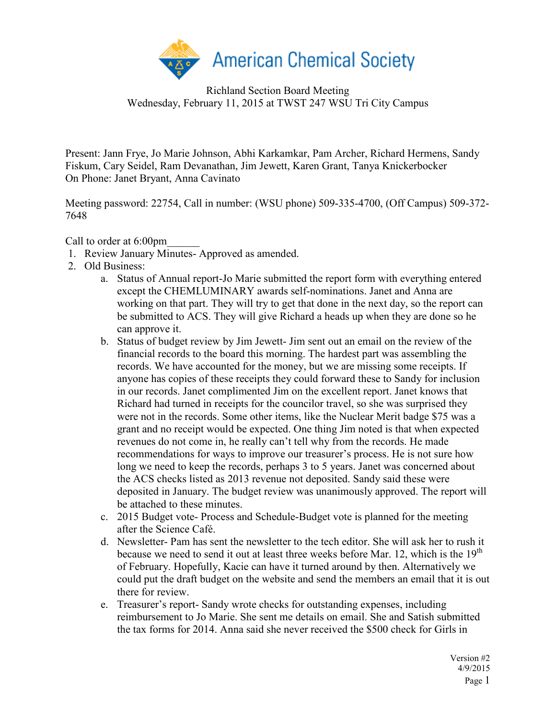

Richland Section Board Meeting Wednesday, February 11, 2015 at TWST 247 WSU Tri City Campus

Present: Jann Frye, Jo Marie Johnson, Abhi Karkamkar, Pam Archer, Richard Hermens, Sandy Fiskum, Cary Seidel, Ram Devanathan, Jim Jewett, Karen Grant, Tanya Knickerbocker On Phone: Janet Bryant, Anna Cavinato

Meeting password: 22754, Call in number: (WSU phone) 509-335-4700, (Off Campus) 509-372- 7648

Call to order at 6:00pm\_\_\_\_\_\_

- 1. Review January Minutes- Approved as amended.
- 2. Old Business:
	- a. Status of Annual report-Jo Marie submitted the report form with everything entered except the CHEMLUMINARY awards self-nominations. Janet and Anna are working on that part. They will try to get that done in the next day, so the report can be submitted to ACS. They will give Richard a heads up when they are done so he can approve it.
	- b. Status of budget review by Jim Jewett- Jim sent out an email on the review of the financial records to the board this morning. The hardest part was assembling the records. We have accounted for the money, but we are missing some receipts. If anyone has copies of these receipts they could forward these to Sandy for inclusion in our records. Janet complimented Jim on the excellent report. Janet knows that Richard had turned in receipts for the councilor travel, so she was surprised they were not in the records. Some other items, like the Nuclear Merit badge \$75 was a grant and no receipt would be expected. One thing Jim noted is that when expected revenues do not come in, he really can't tell why from the records. He made recommendations for ways to improve our treasurer's process. He is not sure how long we need to keep the records, perhaps 3 to 5 years. Janet was concerned about the ACS checks listed as 2013 revenue not deposited. Sandy said these were deposited in January. The budget review was unanimously approved. The report will be attached to these minutes.
	- c. 2015 Budget vote- Process and Schedule-Budget vote is planned for the meeting after the Science Café.
	- d. Newsletter- Pam has sent the newsletter to the tech editor. She will ask her to rush it because we need to send it out at least three weeks before Mar. 12, which is the  $19<sup>th</sup>$ of February. Hopefully, Kacie can have it turned around by then. Alternatively we could put the draft budget on the website and send the members an email that it is out there for review.
	- e. Treasurer's report- Sandy wrote checks for outstanding expenses, including reimbursement to Jo Marie. She sent me details on email. She and Satish submitted the tax forms for 2014. Anna said she never received the \$500 check for Girls in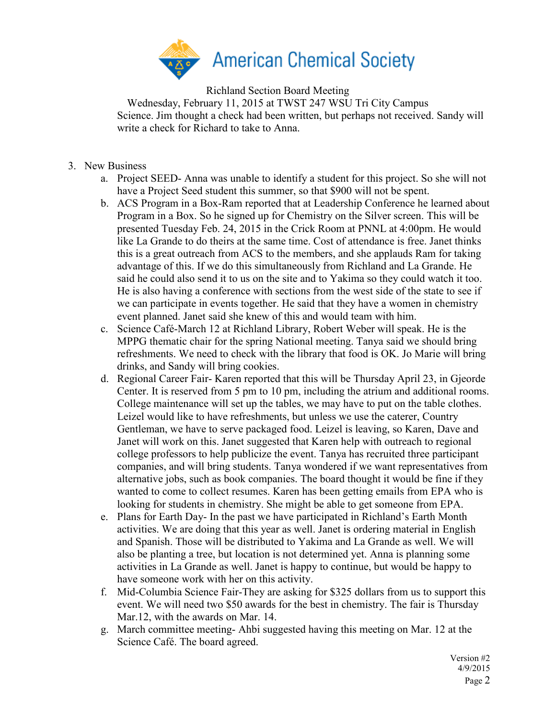

Richland Section Board Meeting

Wednesday, February 11, 2015 at TWST 247 WSU Tri City Campus Science. Jim thought a check had been written, but perhaps not received. Sandy will write a check for Richard to take to Anna.

- 3. New Business
	- a. Project SEED- Anna was unable to identify a student for this project. So she will not have a Project Seed student this summer, so that \$900 will not be spent.
	- b. ACS Program in a Box-Ram reported that at Leadership Conference he learned about Program in a Box. So he signed up for Chemistry on the Silver screen. This will be presented Tuesday Feb. 24, 2015 in the Crick Room at PNNL at 4:00pm. He would like La Grande to do theirs at the same time. Cost of attendance is free. Janet thinks this is a great outreach from ACS to the members, and she applauds Ram for taking advantage of this. If we do this simultaneously from Richland and La Grande. He said he could also send it to us on the site and to Yakima so they could watch it too. He is also having a conference with sections from the west side of the state to see if we can participate in events together. He said that they have a women in chemistry event planned. Janet said she knew of this and would team with him.
	- c. Science Café-March 12 at Richland Library, Robert Weber will speak. He is the MPPG thematic chair for the spring National meeting. Tanya said we should bring refreshments. We need to check with the library that food is OK. Jo Marie will bring drinks, and Sandy will bring cookies.
	- d. Regional Career Fair- Karen reported that this will be Thursday April 23, in Gjeorde Center. It is reserved from 5 pm to 10 pm, including the atrium and additional rooms. College maintenance will set up the tables, we may have to put on the table clothes. Leizel would like to have refreshments, but unless we use the caterer, Country Gentleman, we have to serve packaged food. Leizel is leaving, so Karen, Dave and Janet will work on this. Janet suggested that Karen help with outreach to regional college professors to help publicize the event. Tanya has recruited three participant companies, and will bring students. Tanya wondered if we want representatives from alternative jobs, such as book companies. The board thought it would be fine if they wanted to come to collect resumes. Karen has been getting emails from EPA who is looking for students in chemistry. She might be able to get someone from EPA.
	- e. Plans for Earth Day- In the past we have participated in Richland's Earth Month activities. We are doing that this year as well. Janet is ordering material in English and Spanish. Those will be distributed to Yakima and La Grande as well. We will also be planting a tree, but location is not determined yet. Anna is planning some activities in La Grande as well. Janet is happy to continue, but would be happy to have someone work with her on this activity.
	- f. Mid-Columbia Science Fair-They are asking for \$325 dollars from us to support this event. We will need two \$50 awards for the best in chemistry. The fair is Thursday Mar.12, with the awards on Mar. 14.
	- g. March committee meeting- Ahbi suggested having this meeting on Mar. 12 at the Science Café. The board agreed.